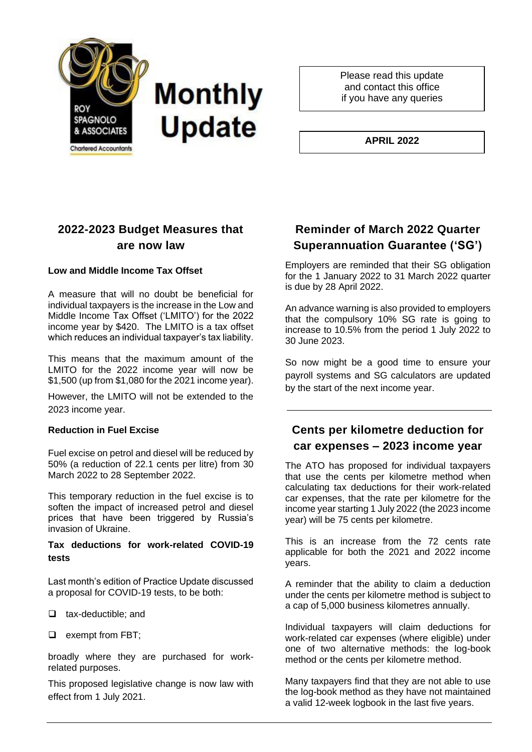

Please read this update and contact this office if you have any queries

**APRIL 2022**

# **2022-2023 Budget Measures that are now law**

### **Low and Middle Income Tax Offset**

A measure that will no doubt be beneficial for individual taxpayers is the increase in the Low and Middle Income Tax Offset ('LMITO') for the 2022 income year by \$420. The LMITO is a tax offset which reduces an individual taxpayer's tax liability.

This means that the maximum amount of the LMITO for the 2022 income year will now be \$1,500 (up from \$1,080 for the 2021 income year).

However, the LMITO will not be extended to the 2023 income year.

#### **Reduction in Fuel Excise**

Fuel excise on petrol and diesel will be reduced by 50% (a reduction of 22.1 cents per litre) from 30 March 2022 to 28 September 2022.

This temporary reduction in the fuel excise is to soften the impact of increased petrol and diesel prices that have been triggered by Russia's invasion of Ukraine.

### **Tax deductions for work-related COVID-19 tests**

Last month's edition of Practice Update discussed a proposal for COVID-19 tests, to be both:

- ❑ tax-deductible; and
- ❑ exempt from FBT;

broadly where they are purchased for workrelated purposes.

This proposed legislative change is now law with effect from 1 July 2021.

### **Reminder of March 2022 Quarter Superannuation Guarantee ('SG')**

Employers are reminded that their SG obligation for the 1 January 2022 to 31 March 2022 quarter is due by 28 April 2022.

An advance warning is also provided to employers that the compulsory 10% SG rate is going to increase to 10.5% from the period 1 July 2022 to 30 June 2023.

So now might be a good time to ensure your payroll systems and SG calculators are updated by the start of the next income year.

# **Cents per kilometre deduction for car expenses – 2023 income year**

The ATO has proposed for individual taxpayers that use the cents per kilometre method when calculating tax deductions for their work-related car expenses, that the rate per kilometre for the income year starting 1 July 2022 (the 2023 income year) will be 75 cents per kilometre.

This is an increase from the 72 cents rate applicable for both the 2021 and 2022 income years.

A reminder that the ability to claim a deduction under the cents per kilometre method is subject to a cap of 5,000 business kilometres annually.

Individual taxpayers will claim deductions for work-related car expenses (where eligible) under one of two alternative methods: the log-book method or the cents per kilometre method.

Many taxpayers find that they are not able to use the log-book method as they have not maintained a valid 12-week logbook in the last five years.